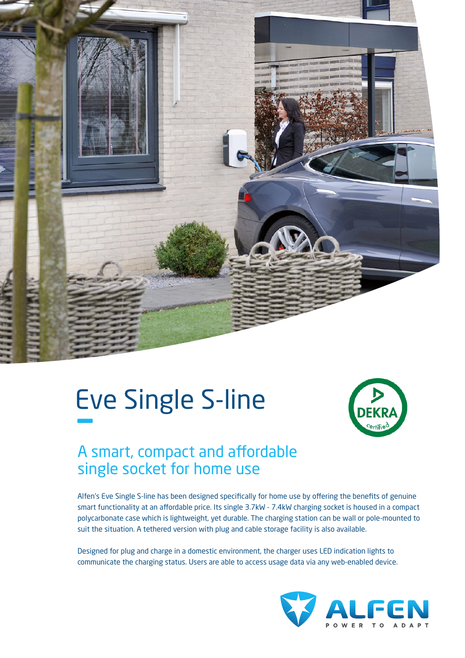

# Eve Single S-line –



## A smart, compact and affordable single socket for home use

Alfen's Eve Single S-line has been designed specifically for home use by offering the benefits of genuine smart functionality at an affordable price. Its single 3.7kW - 7.4kW charging socket is housed in a compact polycarbonate case which is lightweight, yet durable. The charging station can be wall or pole-mounted to suit the situation. A tethered version with plug and cable storage facility is also available.

Designed for plug and charge in a domestic environment, the charger uses LED indication lights to communicate the charging status. Users are able to access usage data via any web-enabled device.